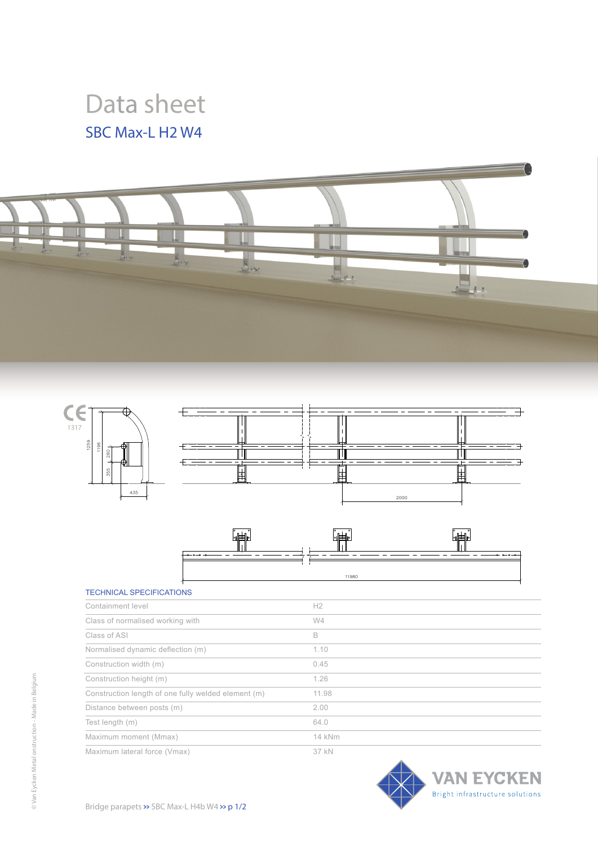## Data sheet SBC Max-L H2 W4







## TECHNICAL SPECIFICATIONS

| Containment level                                   | H <sub>2</sub> |
|-----------------------------------------------------|----------------|
| Class of normalised working with                    | W4             |
| Class of ASI                                        | B              |
| Normalised dynamic deflection (m)                   | 1.10           |
| Construction width (m)                              | 0.45           |
| Construction height (m)                             | 1.26           |
| Construction length of one fully welded element (m) | 11.98          |
| Distance between posts (m)                          | 2.00           |
| Test length (m)                                     | 64.0           |
| Maximum moment (Mmax)                               | 14 kNm         |
| Maximum lateral force (Vmax)                        | 37 kN          |